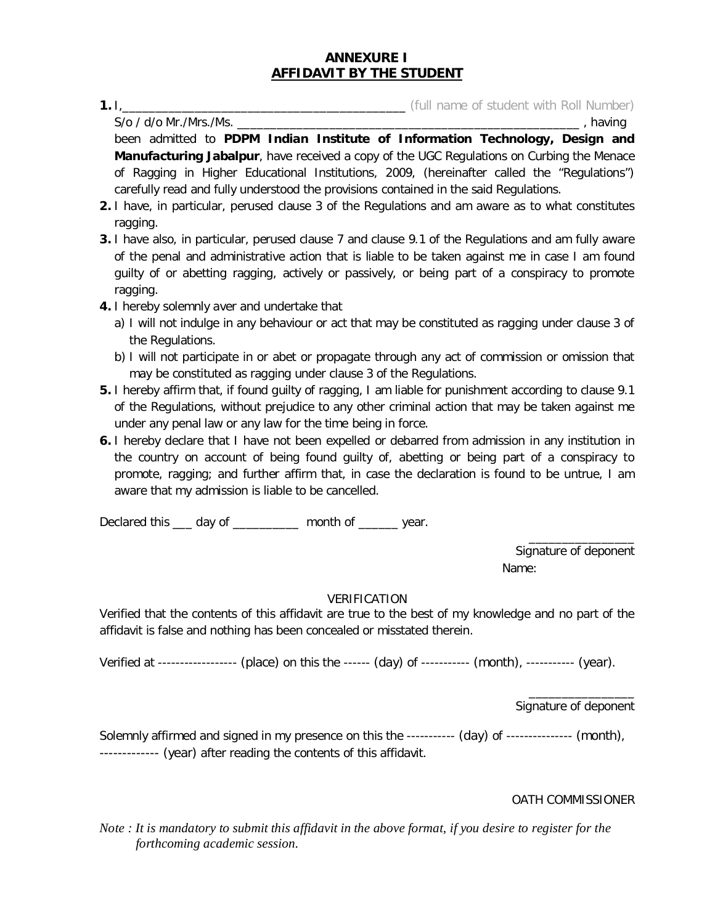# **ANNEXURE I AFFIDAVIT BY THE STUDENT**

**1.** I<sub>,</sub>  $\frac{1}{\sqrt{2}}$  (full name of student with Roll Number) (full name of student with Roll Number)  $S$ /o / d/o Mr./Mrs./Ms.

been admitted to **PDPM Indian Institute of Information Technology, Design and Manufacturing Jabalpur**, have received a copy of the UGC Regulations on Curbing the Menace of Ragging in Higher Educational Institutions, 2009, (hereinafter called the "Regulations") carefully read and fully understood the provisions contained in the said Regulations.

- **2.** I have, in particular, perused clause 3 of the Regulations and am aware as to what constitutes ragging.
- **3.** I have also, in particular, perused clause 7 and clause 9.1 of the Regulations and am fully aware of the penal and administrative action that is liable to be taken against me in case I am found guilty of or abetting ragging, actively or passively, or being part of a conspiracy to promote ragging.
- **4.** I hereby solemnly aver and undertake that
	- a) I will not indulge in any behaviour or act that may be constituted as ragging under clause 3 of the Regulations.
	- b) I will not participate in or abet or propagate through any act of commission or omission that may be constituted as ragging under clause 3 of the Regulations.
- **5.** I hereby affirm that, if found guilty of ragging, I am liable for punishment according to clause 9.1 of the Regulations, without prejudice to any other criminal action that may be taken against me under any penal law or any law for the time being in force.
- **6.** I hereby declare that I have not been expelled or debarred from admission in any institution in the country on account of being found guilty of, abetting or being part of a conspiracy to promote, ragging; and further affirm that, in case the declaration is found to be untrue, I am aware that my admission is liable to be cancelled.

Declared this \_\_\_ day of \_\_\_\_\_\_\_\_\_ month of \_\_\_\_\_\_ year.

Signature of deponent Name:

\_\_\_\_\_\_\_\_\_\_\_\_\_\_\_\_

# VERIFICATION

Verified that the contents of this affidavit are true to the best of my knowledge and no part of the affidavit is false and nothing has been concealed or misstated therein.

Verified at ------------------ (place) on this the ------ (day) of ----------- (month), ----------- (year).

\_\_\_\_\_\_\_\_\_\_\_\_\_\_\_\_ Signature of deponent

Solemnly affirmed and signed in my presence on this the ----------- (day) of --------------- (month), ------------- (year) after reading the contents of this affidavit.

OATH COMMISSIONER

*Note : It is mandatory to submit this affidavit in the above format, if you desire to register for the forthcoming academic session.*